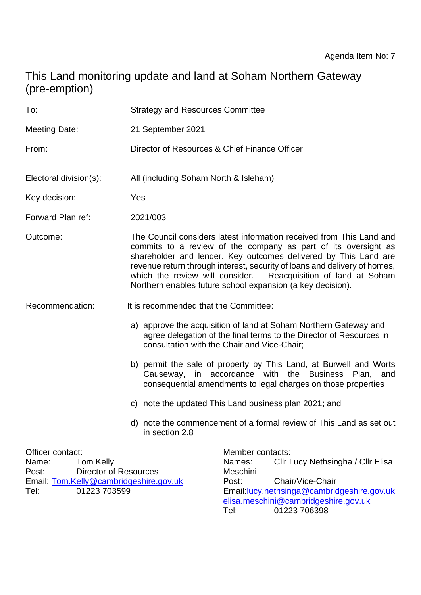# This Land monitoring update and land at Soham Northern Gateway (pre-emption)

| To:                                                                                                                                                      | <b>Strategy and Resources Committee</b>                                                                                                                                                                                                                                                                                                                                                                                |  |  |  |
|----------------------------------------------------------------------------------------------------------------------------------------------------------|------------------------------------------------------------------------------------------------------------------------------------------------------------------------------------------------------------------------------------------------------------------------------------------------------------------------------------------------------------------------------------------------------------------------|--|--|--|
| <b>Meeting Date:</b>                                                                                                                                     | 21 September 2021                                                                                                                                                                                                                                                                                                                                                                                                      |  |  |  |
| From:                                                                                                                                                    | Director of Resources & Chief Finance Officer                                                                                                                                                                                                                                                                                                                                                                          |  |  |  |
| Electoral division(s):                                                                                                                                   | All (including Soham North & Isleham)                                                                                                                                                                                                                                                                                                                                                                                  |  |  |  |
| Key decision:                                                                                                                                            | Yes                                                                                                                                                                                                                                                                                                                                                                                                                    |  |  |  |
| Forward Plan ref:                                                                                                                                        | 2021/003                                                                                                                                                                                                                                                                                                                                                                                                               |  |  |  |
| Outcome:                                                                                                                                                 | The Council considers latest information received from This Land and<br>commits to a review of the company as part of its oversight as<br>shareholder and lender. Key outcomes delivered by This Land are<br>revenue return through interest, security of loans and delivery of homes,<br>which the review will consider. Reacquisition of land at Soham<br>Northern enables future school expansion (a key decision). |  |  |  |
| Recommendation:                                                                                                                                          | It is recommended that the Committee:                                                                                                                                                                                                                                                                                                                                                                                  |  |  |  |
|                                                                                                                                                          | a) approve the acquisition of land at Soham Northern Gateway and<br>agree delegation of the final terms to the Director of Resources in<br>consultation with the Chair and Vice-Chair;                                                                                                                                                                                                                                 |  |  |  |
|                                                                                                                                                          | b) permit the sale of property by This Land, at Burwell and Worts<br>Causeway, in accordance with the Business Plan, and<br>consequential amendments to legal charges on those properties                                                                                                                                                                                                                              |  |  |  |
|                                                                                                                                                          | c) note the updated This Land business plan 2021; and                                                                                                                                                                                                                                                                                                                                                                  |  |  |  |
|                                                                                                                                                          | d) note the commencement of a formal review of This Land as set out<br>in section 2.8                                                                                                                                                                                                                                                                                                                                  |  |  |  |
| Officer contact:<br><b>Tom Kelly</b><br>Name:<br><b>Director of Resources</b><br>Post:<br>Email: Tom.Kelly@cambridgeshire.gov.uk<br>Tel:<br>01223 703599 | Member contacts:<br>Cllr Lucy Nethsingha / Cllr Elisa<br>Names:<br>Meschini<br>Chair/Vice-Chair<br>Post:<br>Email: lucy.nethsinga@cambridgeshire.gov.uk<br>elisa.meschini@cambridgeshire.gov.uk                                                                                                                                                                                                                        |  |  |  |

Tel: 01223 706398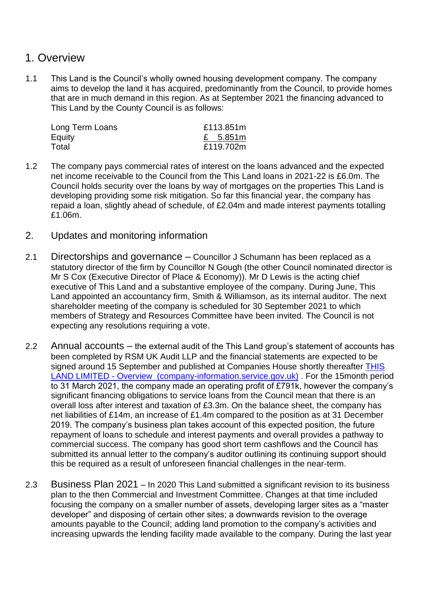### 1. Overview

1.1 This Land is the Council's wholly owned housing development company. The company aims to develop the land it has acquired, predominantly from the Council, to provide homes that are in much demand in this region. As at September 2021 the financing advanced to This Land by the County Council is as follows:

| £113.851m |
|-----------|
| £ 5.851m  |
| £119.702m |
|           |

- 1.2 The company pays commercial rates of interest on the loans advanced and the expected net income receivable to the Council from the This Land loans in 2021-22 is £6.0m. The Council holds security over the loans by way of mortgages on the properties This Land is developing providing some risk mitigation. So far this financial year, the company has repaid a loan, slightly ahead of schedule, of £2.04m and made interest payments totalling £1.06m.
- 2. Updates and monitoring information
- 2.1 Directorships and governance Councillor J Schumann has been replaced as a statutory director of the firm by Councillor N Gough (the other Council nominated director is Mr S Cox (Executive Director of Place & Economy)). Mr D Lewis is the acting chief executive of This Land and a substantive employee of the company. During June, This Land appointed an accountancy firm, Smith & Williamson, as its internal auditor. The next shareholder meeting of the company is scheduled for 30 September 2021 to which members of Strategy and Resources Committee have been invited. The Council is not expecting any resolutions requiring a vote.
- 2.2 Annual accounts the external audit of the This Land group's statement of accounts has been completed by RSM UK Audit LLP and the financial statements are expected to be signed around 15 September and published at Companies House shortly thereafter THIS LAND LIMITED - [Overview \(company-information.service.gov.uk\)](https://find-and-update.company-information.service.gov.uk/company/10237292) . For the 15month period to 31 March 2021, the company made an operating profit of £791k, however the company's significant financing obligations to service loans from the Council mean that there is an overall loss after interest and taxation of £3.3m. On the balance sheet, the company has net liabilities of £14m, an increase of £1.4m compared to the position as at 31 December 2019. The company's business plan takes account of this expected position, the future repayment of loans to schedule and interest payments and overall provides a pathway to commercial success. The company has good short term cashflows and the Council has submitted its annual letter to the company's auditor outlining its continuing support should this be required as a result of unforeseen financial challenges in the near-term.
- 2.3 Business Plan 2021 In 2020 This Land submitted a significant revision to its business plan to the then Commercial and Investment Committee. Changes at that time included focusing the company on a smaller number of assets, developing larger sites as a "master developer" and disposing of certain other sites; a downwards revision to the overage amounts payable to the Council; adding land promotion to the company's activities and increasing upwards the lending facility made available to the company. During the last year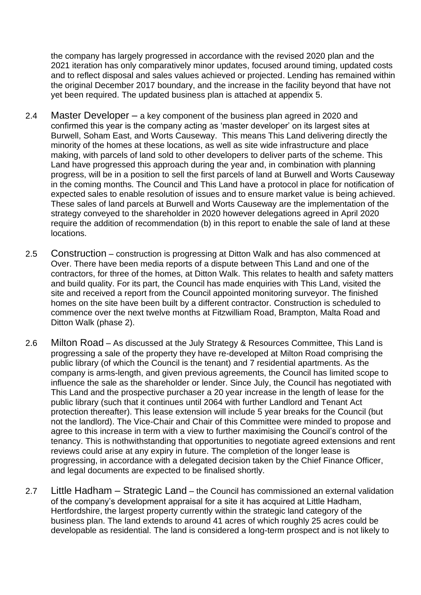the company has largely progressed in accordance with the revised 2020 plan and the 2021 iteration has only comparatively minor updates, focused around timing, updated costs and to reflect disposal and sales values achieved or projected. Lending has remained within the original December 2017 boundary, and the increase in the facility beyond that have not yet been required. The updated business plan is attached at appendix 5.

- 2.4 Master Developer a key component of the business plan agreed in 2020 and confirmed this year is the company acting as 'master developer' on its largest sites at Burwell, Soham East, and Worts Causeway. This means This Land delivering directly the minority of the homes at these locations, as well as site wide infrastructure and place making, with parcels of land sold to other developers to deliver parts of the scheme. This Land have progressed this approach during the year and, in combination with planning progress, will be in a position to sell the first parcels of land at Burwell and Worts Causeway in the coming months. The Council and This Land have a protocol in place for notification of expected sales to enable resolution of issues and to ensure market value is being achieved. These sales of land parcels at Burwell and Worts Causeway are the implementation of the strategy conveyed to the shareholder in 2020 however delegations agreed in April 2020 require the addition of recommendation (b) in this report to enable the sale of land at these locations.
- 2.5 Construction construction is progressing at Ditton Walk and has also commenced at Over. There have been media reports of a dispute between This Land and one of the contractors, for three of the homes, at Ditton Walk. This relates to health and safety matters and build quality. For its part, the Council has made enquiries with This Land, visited the site and received a report from the Council appointed monitoring surveyor. The finished homes on the site have been built by a different contractor. Construction is scheduled to commence over the next twelve months at Fitzwilliam Road, Brampton, Malta Road and Ditton Walk (phase 2).
- 2.6 Milton Road As discussed at the July Strategy & Resources Committee, This Land is progressing a sale of the property they have re-developed at Milton Road comprising the public library (of which the Council is the tenant) and 7 residential apartments. As the company is arms-length, and given previous agreements, the Council has limited scope to influence the sale as the shareholder or lender. Since July, the Council has negotiated with This Land and the prospective purchaser a 20 year increase in the length of lease for the public library (such that it continues until 2064 with further Landlord and Tenant Act protection thereafter). This lease extension will include 5 year breaks for the Council (but not the landlord). The Vice-Chair and Chair of this Committee were minded to propose and agree to this increase in term with a view to further maximising the Council's control of the tenancy. This is nothwithstanding that opportunities to negotiate agreed extensions and rent reviews could arise at any expiry in future. The completion of the longer lease is progressing, in accordance with a delegated decision taken by the Chief Finance Officer, and legal documents are expected to be finalised shortly.
- 2.7 Little Hadham Strategic Land the Council has commissioned an external validation of the company's development appraisal for a site it has acquired at Little Hadham, Hertfordshire, the largest property currently within the strategic land category of the business plan. The land extends to around 41 acres of which roughly 25 acres could be developable as residential. The land is considered a long-term prospect and is not likely to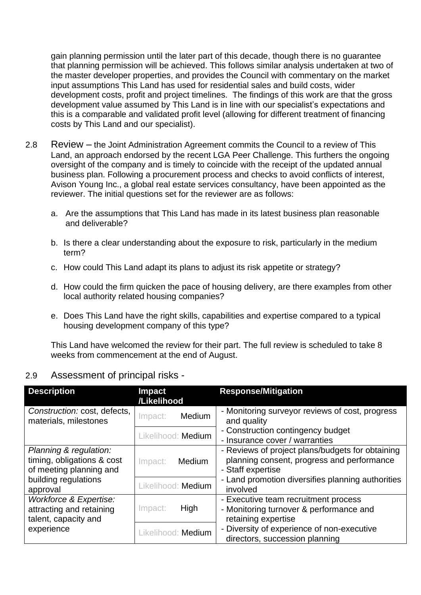gain planning permission until the later part of this decade, though there is no guarantee that planning permission will be achieved. This follows similar analysis undertaken at two of the master developer properties, and provides the Council with commentary on the market input assumptions This Land has used for residential sales and build costs, wider development costs, profit and project timelines. The findings of this work are that the gross development value assumed by This Land is in line with our specialist's expectations and this is a comparable and validated profit level (allowing for different treatment of financing costs by This Land and our specialist).

- 2.8 Review the Joint Administration Agreement commits the Council to a review of This Land, an approach endorsed by the recent LGA Peer Challenge. This furthers the ongoing oversight of the company and is timely to coincide with the receipt of the updated annual business plan. Following a procurement process and checks to avoid conflicts of interest, Avison Young Inc., a global real estate services consultancy, have been appointed as the reviewer. The initial questions set for the reviewer are as follows:
	- a. Are the assumptions that This Land has made in its latest business plan reasonable and deliverable?
	- b. Is there a clear understanding about the exposure to risk, particularly in the medium term?
	- c. How could This Land adapt its plans to adjust its risk appetite or strategy?
	- d. How could the firm quicken the pace of housing delivery, are there examples from other local authority related housing companies?
	- e. Does This Land have the right skills, capabilities and expertise compared to a typical housing development company of this type?

This Land have welcomed the review for their part. The full review is scheduled to take 8 weeks from commencement at the end of August.

#### 2.9 Assessment of principal risks -

| <b>Description</b>                                                                                                  | <b>Impact</b><br>/Likelihood | <b>Response/Mitigation</b>                                                                                          |
|---------------------------------------------------------------------------------------------------------------------|------------------------------|---------------------------------------------------------------------------------------------------------------------|
| Construction: cost, defects,<br>materials, milestones                                                               | Medium<br>Impact:            | - Monitoring surveyor reviews of cost, progress<br>and quality                                                      |
|                                                                                                                     | Likelihood: Medium           | - Construction contingency budget<br>- Insurance cover / warranties                                                 |
| Planning & regulation:<br>timing, obligations & cost<br>of meeting planning and<br>building regulations<br>approval | Medium<br>Impact:            | - Reviews of project plans/budgets for obtaining<br>planning consent, progress and performance<br>- Staff expertise |
|                                                                                                                     | Likelihood: Medium           | - Land promotion diversifies planning authorities<br>involved                                                       |
| Workforce & Expertise:<br>attracting and retaining<br>talent, capacity and<br>experience                            | Impact:<br>High              | - Executive team recruitment process<br>- Monitoring turnover & performance and<br>retaining expertise              |
|                                                                                                                     | Likelihood: Medium           | - Diversity of experience of non-executive<br>directors, succession planning                                        |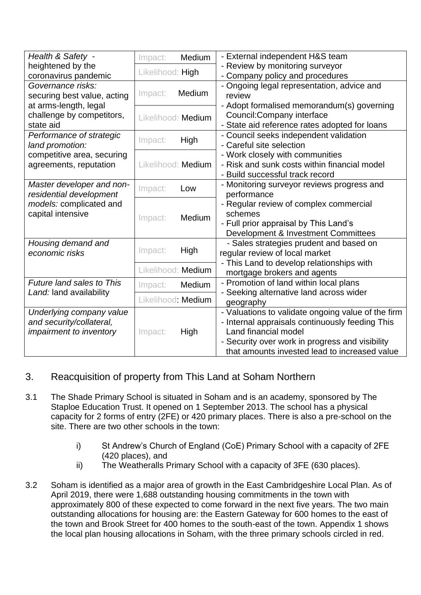| Health & Safety -              | Impact:            | Medium                                | - External independent H&S team                    |
|--------------------------------|--------------------|---------------------------------------|----------------------------------------------------|
| heightened by the              |                    |                                       | - Review by monitoring surveyor                    |
| coronavirus pandemic           | Likelihood: High   |                                       | - Company policy and procedures                    |
| Governance risks:              | Medium<br>Impact:  |                                       | - Ongoing legal representation, advice and         |
| securing best value, acting    |                    |                                       | review                                             |
| at arms-length, legal          |                    |                                       | - Adopt formalised memorandum(s) governing         |
| challenge by competitors,      | Likelihood: Medium |                                       | Council: Company interface                         |
| state aid                      |                    |                                       | - State aid reference rates adopted for loans      |
| Performance of strategic       |                    |                                       | - Council seeks independent validation             |
| land promotion:                | Impact:            | High                                  | - Careful site selection                           |
| competitive area, securing     |                    |                                       | - Work closely with communities                    |
| agreements, reputation         | Likelihood: Medium |                                       | - Risk and sunk costs within financial model       |
|                                |                    |                                       | - Build successful track record                    |
| Master developer and non-      |                    |                                       | - Monitoring surveyor reviews progress and         |
| residential development        | Impact:            | Low                                   | performance                                        |
| models: complicated and        |                    |                                       | - Regular review of complex commercial             |
| capital intensive              |                    |                                       | schemes                                            |
|                                | Medium<br>Impact:  | - Full prior appraisal by This Land's |                                                    |
|                                |                    |                                       | Development & Investment Committees                |
| Housing demand and             |                    |                                       | - Sales strategies prudent and based on            |
| economic risks                 | High<br>Impact:    |                                       | regular review of local market                     |
|                                |                    |                                       | - This Land to develop relationships with          |
|                                |                    | Likelihood: Medium                    | mortgage brokers and agents                        |
| Future land sales to This      |                    |                                       | - Promotion of land within local plans             |
| Land: land availability        | Impact:            | Medium                                | - Seeking alternative land across wider            |
|                                |                    | Likelihood: Medium                    | geography                                          |
| Underlying company value       |                    |                                       | - Valuations to validate ongoing value of the firm |
| and security/collateral,       |                    |                                       | - Internal appraisals continuously feeding This    |
| <i>impairment to inventory</i> | Impact:            | High                                  | Land financial model                               |
|                                |                    |                                       |                                                    |
|                                |                    |                                       | - Security over work in progress and visibility    |
|                                |                    |                                       | that amounts invested lead to increased value      |

### 3. Reacquisition of property from This Land at Soham Northern

- 3.1 The Shade Primary School is situated in Soham and is an academy, sponsored by The Staploe Education Trust. It opened on 1 September 2013. The school has a physical capacity for 2 forms of entry (2FE) or 420 primary places. There is also a pre-school on the site. There are two other schools in the town:
	- i) St Andrew's Church of England (CoE) Primary School with a capacity of 2FE (420 places), and
	- ii) The Weatheralls Primary School with a capacity of 3FE (630 places).
- 3.2 Soham is identified as a major area of growth in the East Cambridgeshire Local Plan. As of April 2019, there were 1,688 outstanding housing commitments in the town with approximately 800 of these expected to come forward in the next five years. The two main outstanding allocations for housing are: the Eastern Gateway for 600 homes to the east of the town and Brook Street for 400 homes to the south-east of the town. Appendix 1 shows the local plan housing allocations in Soham, with the three primary schools circled in red.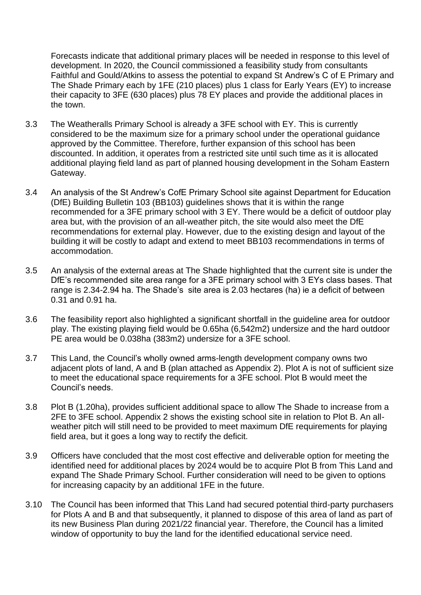Forecasts indicate that additional primary places will be needed in response to this level of development. In 2020, the Council commissioned a feasibility study from consultants Faithful and Gould/Atkins to assess the potential to expand St Andrew's C of E Primary and The Shade Primary each by 1FE (210 places) plus 1 class for Early Years (EY) to increase their capacity to 3FE (630 places) plus 78 EY places and provide the additional places in the town.

- 3.3 The Weatheralls Primary School is already a 3FE school with EY. This is currently considered to be the maximum size for a primary school under the operational guidance approved by the Committee. Therefore, further expansion of this school has been discounted. In addition, it operates from a restricted site until such time as it is allocated additional playing field land as part of planned housing development in the Soham Eastern Gateway.
- 3.4 An analysis of the St Andrew's CofE Primary School site against Department for Education (DfE) Building Bulletin 103 (BB103) guidelines shows that it is within the range recommended for a 3FE primary school with 3 EY. There would be a deficit of outdoor play area but, with the provision of an all-weather pitch, the site would also meet the DfE recommendations for external play. However, due to the existing design and layout of the building it will be costly to adapt and extend to meet BB103 recommendations in terms of accommodation.
- 3.5 An analysis of the external areas at The Shade highlighted that the current site is under the DfE's recommended site area range for a 3FE primary school with 3 EYs class bases. That range is 2.34-2.94 ha. The Shade's site area is 2.03 hectares (ha) ie a deficit of between 0.31 and 0.91 ha.
- 3.6 The feasibility report also highlighted a significant shortfall in the guideline area for outdoor play. The existing playing field would be 0.65ha (6,542m2) undersize and the hard outdoor PE area would be 0.038ha (383m2) undersize for a 3FE school.
- 3.7 This Land, the Council's wholly owned arms-length development company owns two adjacent plots of land, A and B (plan attached as Appendix 2). Plot A is not of sufficient size to meet the educational space requirements for a 3FE school. Plot B would meet the Council's needs.
- 3.8 Plot B (1.20ha), provides sufficient additional space to allow The Shade to increase from a 2FE to 3FE school. Appendix 2 shows the existing school site in relation to Plot B. An allweather pitch will still need to be provided to meet maximum DfE requirements for playing field area, but it goes a long way to rectify the deficit.
- 3.9 Officers have concluded that the most cost effective and deliverable option for meeting the identified need for additional places by 2024 would be to acquire Plot B from This Land and expand The Shade Primary School. Further consideration will need to be given to options for increasing capacity by an additional 1FE in the future.
- 3.10 The Council has been informed that This Land had secured potential third-party purchasers for Plots A and B and that subsequently, it planned to dispose of this area of land as part of its new Business Plan during 2021/22 financial year. Therefore, the Council has a limited window of opportunity to buy the land for the identified educational service need.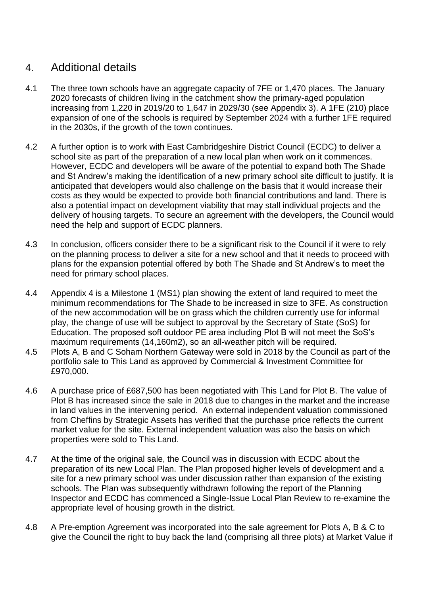## 4. Additional details

- 4.1 The three town schools have an aggregate capacity of 7FE or 1,470 places. The January 2020 forecasts of children living in the catchment show the primary-aged population increasing from 1,220 in 2019/20 to 1,647 in 2029/30 (see Appendix 3). A 1FE (210) place expansion of one of the schools is required by September 2024 with a further 1FE required in the 2030s, if the growth of the town continues.
- 4.2 A further option is to work with East Cambridgeshire District Council (ECDC) to deliver a school site as part of the preparation of a new local plan when work on it commences. However, ECDC and developers will be aware of the potential to expand both The Shade and St Andrew's making the identification of a new primary school site difficult to justify. It is anticipated that developers would also challenge on the basis that it would increase their costs as they would be expected to provide both financial contributions and land. There is also a potential impact on development viability that may stall individual projects and the delivery of housing targets. To secure an agreement with the developers, the Council would need the help and support of ECDC planners.
- 4.3 In conclusion, officers consider there to be a significant risk to the Council if it were to rely on the planning process to deliver a site for a new school and that it needs to proceed with plans for the expansion potential offered by both The Shade and St Andrew's to meet the need for primary school places.
- 4.4 Appendix 4 is a Milestone 1 (MS1) plan showing the extent of land required to meet the minimum recommendations for The Shade to be increased in size to 3FE. As construction of the new accommodation will be on grass which the children currently use for informal play, the change of use will be subject to approval by the Secretary of State (SoS) for Education. The proposed soft outdoor PE area including Plot B will not meet the SoS's maximum requirements (14,160m2), so an all-weather pitch will be required.
- 4.5 Plots A, B and C Soham Northern Gateway were sold in 2018 by the Council as part of the portfolio sale to This Land as approved by Commercial & Investment Committee for £970,000.
- 4.6 A purchase price of £687,500 has been negotiated with This Land for Plot B. The value of Plot B has increased since the sale in 2018 due to changes in the market and the increase in land values in the intervening period. An external independent valuation commissioned from Cheffins by Strategic Assets has verified that the purchase price reflects the current market value for the site. External independent valuation was also the basis on which properties were sold to This Land.
- 4.7 At the time of the original sale, the Council was in discussion with ECDC about the preparation of its new Local Plan. The Plan proposed higher levels of development and a site for a new primary school was under discussion rather than expansion of the existing schools. The Plan was subsequently withdrawn following the report of the Planning Inspector and ECDC has commenced a Single-Issue Local Plan Review to re-examine the appropriate level of housing growth in the district.
- 4.8 A Pre-emption Agreement was incorporated into the sale agreement for Plots A, B & C to give the Council the right to buy back the land (comprising all three plots) at Market Value if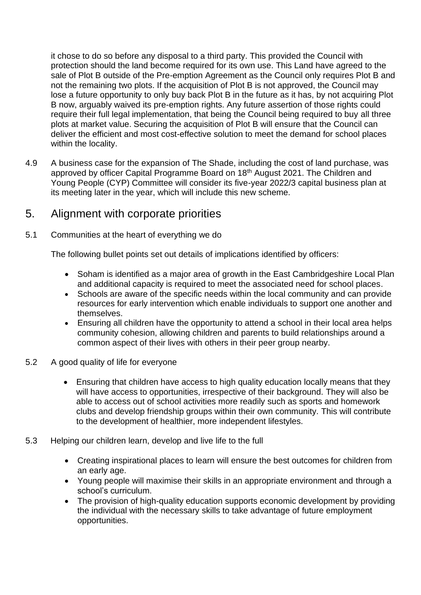it chose to do so before any disposal to a third party. This provided the Council with protection should the land become required for its own use. This Land have agreed to the sale of Plot B outside of the Pre-emption Agreement as the Council only requires Plot B and not the remaining two plots. If the acquisition of Plot B is not approved, the Council may lose a future opportunity to only buy back Plot B in the future as it has, by not acquiring Plot B now, arguably waived its pre-emption rights. Any future assertion of those rights could require their full legal implementation, that being the Council being required to buy all three plots at market value. Securing the acquisition of Plot B will ensure that the Council can deliver the efficient and most cost-effective solution to meet the demand for school places within the locality.

4.9 A business case for the expansion of The Shade, including the cost of land purchase, was approved by officer Capital Programme Board on 18<sup>th</sup> August 2021. The Children and Young People (CYP) Committee will consider its five-year 2022/3 capital business plan at its meeting later in the year, which will include this new scheme.

## 5. Alignment with corporate priorities

5.1 Communities at the heart of everything we do

The following bullet points set out details of implications identified by officers:

- Soham is identified as a major area of growth in the East Cambridgeshire Local Plan and additional capacity is required to meet the associated need for school places.
- Schools are aware of the specific needs within the local community and can provide resources for early intervention which enable individuals to support one another and themselves.
- Ensuring all children have the opportunity to attend a school in their local area helps community cohesion, allowing children and parents to build relationships around a common aspect of their lives with others in their peer group nearby.
- 5.2 A good quality of life for everyone
	- Ensuring that children have access to high quality education locally means that they will have access to opportunities, irrespective of their background. They will also be able to access out of school activities more readily such as sports and homework clubs and develop friendship groups within their own community. This will contribute to the development of healthier, more independent lifestyles.
- 5.3 Helping our children learn, develop and live life to the full
	- Creating inspirational places to learn will ensure the best outcomes for children from an early age.
	- Young people will maximise their skills in an appropriate environment and through a school's curriculum.
	- The provision of high-quality education supports economic development by providing the individual with the necessary skills to take advantage of future employment opportunities.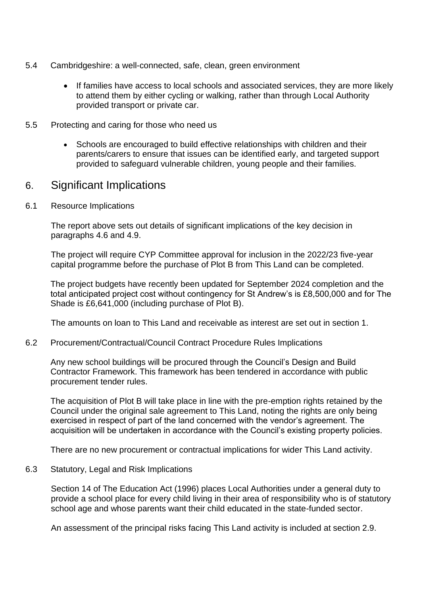- 5.4 Cambridgeshire: a well-connected, safe, clean, green environment
	- If families have access to local schools and associated services, they are more likely to attend them by either cycling or walking, rather than through Local Authority provided transport or private car.
- 5.5 Protecting and caring for those who need us
	- Schools are encouraged to build effective relationships with children and their parents/carers to ensure that issues can be identified early, and targeted support provided to safeguard vulnerable children, young people and their families.

### 6. Significant Implications

6.1 Resource Implications

The report above sets out details of significant implications of the key decision in paragraphs 4.6 and 4.9.

The project will require CYP Committee approval for inclusion in the 2022/23 five-year capital programme before the purchase of Plot B from This Land can be completed.

The project budgets have recently been updated for September 2024 completion and the total anticipated project cost without contingency for St Andrew's is £8,500,000 and for The Shade is £6,641,000 (including purchase of Plot B).

The amounts on loan to This Land and receivable as interest are set out in section 1.

6.2 Procurement/Contractual/Council Contract Procedure Rules Implications

Any new school buildings will be procured through the Council's Design and Build Contractor Framework. This framework has been tendered in accordance with public procurement tender rules.

The acquisition of Plot B will take place in line with the pre-emption rights retained by the Council under the original sale agreement to This Land, noting the rights are only being exercised in respect of part of the land concerned with the vendor's agreement. The acquisition will be undertaken in accordance with the Council's existing property policies.

There are no new procurement or contractual implications for wider This Land activity.

6.3 Statutory, Legal and Risk Implications

Section 14 of The Education Act (1996) places Local Authorities under a general duty to provide a school place for every child living in their area of responsibility who is of statutory school age and whose parents want their child educated in the state-funded sector.

An assessment of the principal risks facing This Land activity is included at section 2.9.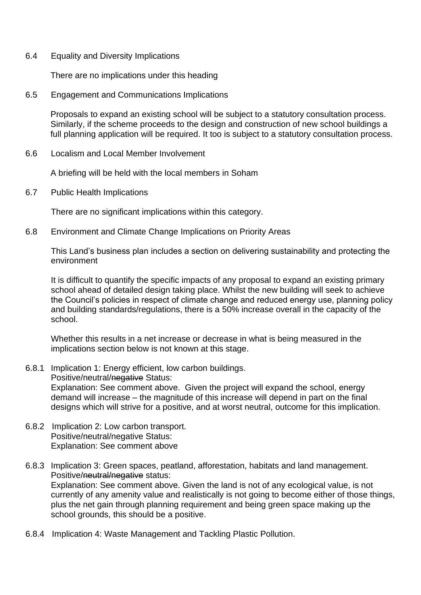6.4 Equality and Diversity Implications

There are no implications under this heading

6.5 Engagement and Communications Implications

Proposals to expand an existing school will be subject to a statutory consultation process. Similarly, if the scheme proceeds to the design and construction of new school buildings a full planning application will be required. It too is subject to a statutory consultation process.

6.6 Localism and Local Member Involvement

A briefing will be held with the local members in Soham

6.7 Public Health Implications

There are no significant implications within this category.

6.8 Environment and Climate Change Implications on Priority Areas

This Land's business plan includes a section on delivering sustainability and protecting the environment

It is difficult to quantify the specific impacts of any proposal to expand an existing primary school ahead of detailed design taking place. Whilst the new building will seek to achieve the Council's policies in respect of climate change and reduced energy use, planning policy and building standards/regulations, there is a 50% increase overall in the capacity of the school.

Whether this results in a net increase or decrease in what is being measured in the implications section below is not known at this stage.

6.8.1 Implication 1: Energy efficient, low carbon buildings.

Positive/neutral/negative Status: Explanation: See comment above. Given the project will expand the school, energy demand will increase – the magnitude of this increase will depend in part on the final designs which will strive for a positive, and at worst neutral, outcome for this implication.

- 6.8.2 Implication 2: Low carbon transport. Positive/neutral/negative Status: Explanation: See comment above
- 6.8.3 Implication 3: Green spaces, peatland, afforestation, habitats and land management. Positive/neutral/negative status: Explanation: See comment above. Given the land is not of any ecological value, is not currently of any amenity value and realistically is not going to become either of those things, plus the net gain through planning requirement and being green space making up the school grounds, this should be a positive.
- 6.8.4 Implication 4: Waste Management and Tackling Plastic Pollution.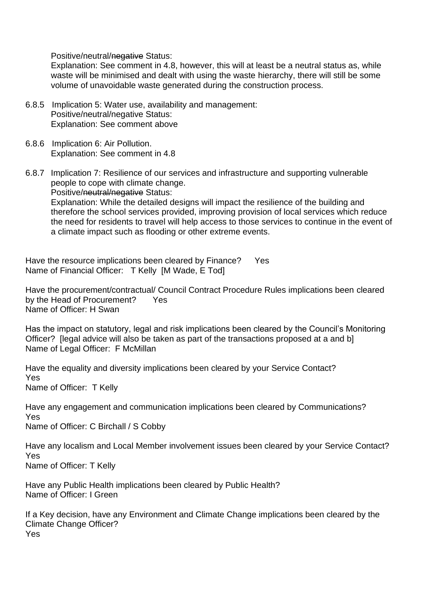Positive/neutral/negative Status:

Explanation: See comment in 4.8, however, this will at least be a neutral status as, while waste will be minimised and dealt with using the waste hierarchy, there will still be some volume of unavoidable waste generated during the construction process.

- 6.8.5 Implication 5: Water use, availability and management: Positive/neutral/negative Status: Explanation: See comment above
- 6.8.6 Implication 6: Air Pollution. Explanation: See comment in 4.8
- 6.8.7 Implication 7: Resilience of our services and infrastructure and supporting vulnerable people to cope with climate change. Positive/neutral/negative Status: Explanation: While the detailed designs will impact the resilience of the building and therefore the school services provided, improving provision of local services which reduce the need for residents to travel will help access to those services to continue in the event of a climate impact such as flooding or other extreme events.

Have the resource implications been cleared by Finance? Yes Name of Financial Officer: T Kelly [M Wade, E Tod]

Have the procurement/contractual/ Council Contract Procedure Rules implications been cleared by the Head of Procurement? Yes Name of Officer: H Swan

Has the impact on statutory, legal and risk implications been cleared by the Council's Monitoring Officer? [legal advice will also be taken as part of the transactions proposed at a and b] Name of Legal Officer: F McMillan

Have the equality and diversity implications been cleared by your Service Contact? Yes Name of Officer: T Kelly

Have any engagement and communication implications been cleared by Communications? Yes

Name of Officer: C Birchall / S Cobby

Have any localism and Local Member involvement issues been cleared by your Service Contact? Yes

Name of Officer: T Kelly

Have any Public Health implications been cleared by Public Health? Name of Officer: I Green

If a Key decision, have any Environment and Climate Change implications been cleared by the Climate Change Officer? Yes